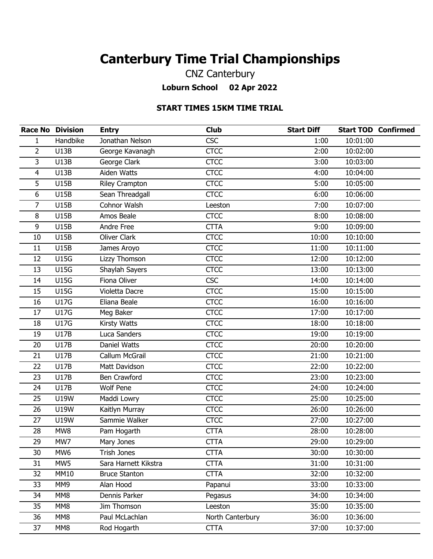## **Canterbury Time Trial Championships**

CNZ Canterbury **Loburn School 02 Apr 2022**

## **START TIMES 15KM TIME TRIAL**

|                | <b>Race No Division</b> | <b>Entry</b>          | <b>Club</b>      | <b>Start Diff</b> |          | <b>Start TOD Confirmed</b> |
|----------------|-------------------------|-----------------------|------------------|-------------------|----------|----------------------------|
| $\mathbf{1}$   | Handbike                | Jonathan Nelson       | <b>CSC</b>       | 1:00              | 10:01:00 |                            |
| $\overline{2}$ | <b>U13B</b>             | George Kavanagh       | <b>CTCC</b>      | 2:00              | 10:02:00 |                            |
| 3              | <b>U13B</b>             | George Clark          | <b>CTCC</b>      | 3:00              | 10:03:00 |                            |
| 4              | <b>U13B</b>             | Aiden Watts           | <b>CTCC</b>      | 4:00              | 10:04:00 |                            |
| 5              | <b>U15B</b>             | <b>Riley Crampton</b> | <b>CTCC</b>      | 5:00              | 10:05:00 |                            |
| 6              | <b>U15B</b>             | Sean Threadgall       | <b>CTCC</b>      | 6:00              | 10:06:00 |                            |
| 7              | <b>U15B</b>             | Cohnor Walsh          | Leeston          | 7:00              | 10:07:00 |                            |
| 8              | <b>U15B</b>             | Amos Beale            | <b>CTCC</b>      | 8:00              | 10:08:00 |                            |
| 9              | <b>U15B</b>             | Andre Free            | <b>CTTA</b>      | 9:00              | 10:09:00 |                            |
| 10             | <b>U15B</b>             | <b>Oliver Clark</b>   | <b>CTCC</b>      | 10:00             | 10:10:00 |                            |
| 11             | <b>U15B</b>             | James Aroyo           | <b>CTCC</b>      | 11:00             | 10:11:00 |                            |
| 12             | <b>U15G</b>             | Lizzy Thomson         | <b>CTCC</b>      | 12:00             | 10:12:00 |                            |
| 13             | <b>U15G</b>             | Shaylah Sayers        | <b>CTCC</b>      | 13:00             | 10:13:00 |                            |
| 14             | <b>U15G</b>             | Fiona Oliver          | <b>CSC</b>       | 14:00             | 10:14:00 |                            |
| 15             | <b>U15G</b>             | Violetta Dacre        | <b>CTCC</b>      | 15:00             | 10:15:00 |                            |
| 16             | <b>U17G</b>             | Eliana Beale          | <b>CTCC</b>      | 16:00             | 10:16:00 |                            |
| 17             | <b>U17G</b>             | Meg Baker             | <b>CTCC</b>      | 17:00             | 10:17:00 |                            |
| 18             | <b>U17G</b>             | Kirsty Watts          | <b>CTCC</b>      | 18:00             | 10:18:00 |                            |
| 19             | <b>U17B</b>             | Luca Sanders          | <b>CTCC</b>      | 19:00             | 10:19:00 |                            |
| 20             | <b>U17B</b>             | Daniel Watts          | <b>CTCC</b>      | 20:00             | 10:20:00 |                            |
| 21             | <b>U17B</b>             | Callum McGrail        | <b>CTCC</b>      | 21:00             | 10:21:00 |                            |
| 22             | <b>U17B</b>             | Matt Davidson         | <b>CTCC</b>      | 22:00             | 10:22:00 |                            |
| 23             | <b>U17B</b>             | <b>Ben Crawford</b>   | <b>CTCC</b>      | 23:00             | 10:23:00 |                            |
| 24             | <b>U17B</b>             | <b>Wolf Pene</b>      | <b>CTCC</b>      | 24:00             | 10:24:00 |                            |
| 25             | U19W                    | Maddi Lowry           | <b>CTCC</b>      | 25:00             | 10:25:00 |                            |
| 26             | <b>U19W</b>             | Kaitlyn Murray        | <b>CTCC</b>      | 26:00             | 10:26:00 |                            |
| 27             | <b>U19W</b>             | Sammie Walker         | <b>CTCC</b>      | 27:00             | 10:27:00 |                            |
| 28             | MW8                     | Pam Hogarth           | <b>CTTA</b>      | 28:00             | 10:28:00 |                            |
| 29             | MW7                     | Mary Jones            | <b>CTTA</b>      | 29:00             | 10:29:00 |                            |
| 30             | MW <sub>6</sub>         | Trish Jones           | <b>CTTA</b>      | 30:00             | 10:30:00 |                            |
| 31             | MW5                     | Sara Harnett Kikstra  | <b>CTTA</b>      | 31:00             | 10:31:00 |                            |
| 32             | <b>MM10</b>             | <b>Bruce Stanton</b>  | <b>CTTA</b>      | 32:00             | 10:32:00 |                            |
| 33             | MM9                     | Alan Hood             | Papanui          | 33:00             | 10:33:00 |                            |
| 34             | MM8                     | Dennis Parker         | Pegasus          | 34:00             | 10:34:00 |                            |
| 35             | MM8                     | Jim Thomson           | Leeston          | 35:00             | 10:35:00 |                            |
| 36             | MM8                     | Paul McLachlan        | North Canterbury | 36:00             | 10:36:00 |                            |
| 37             | MM8                     | Rod Hogarth           | <b>CTTA</b>      | 37:00             | 10:37:00 |                            |